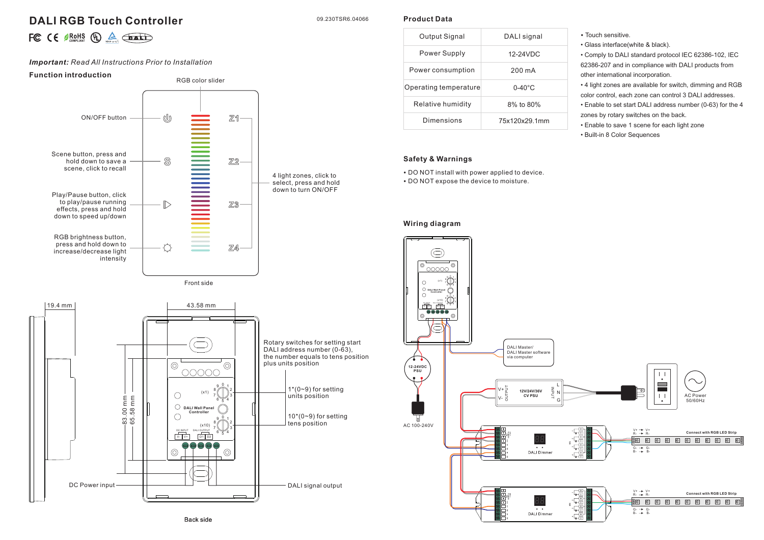# **DALI RGB Touch Controller**

09.230TSR6.04066

**Product Data**

|  |  |  |  |  | FC $\mathsf{CE}$ $\mathsf{BRM}$ $\mathsf{C}$ $\mathsf{C}$ $\mathsf{C}$ $\mathsf{C}$ $\mathsf{C}$ $\mathsf{C}$ $\mathsf{C}$ $\mathsf{C}$ $\mathsf{C}$ $\mathsf{C}$ $\mathsf{C}$ $\mathsf{C}$ $\mathsf{C}$ $\mathsf{C}$ $\mathsf{C}$ $\mathsf{C}$ $\mathsf{C}$ $\mathsf{C}$ $\mathsf{C}$ $\mathsf{C}$ $\mathsf{C}$ $\mathsf{C}$ |
|--|--|--|--|--|-------------------------------------------------------------------------------------------------------------------------------------------------------------------------------------------------------------------------------------------------------------------------------------------------------------------------------|
|--|--|--|--|--|-------------------------------------------------------------------------------------------------------------------------------------------------------------------------------------------------------------------------------------------------------------------------------------------------------------------------------|

# *Important: Read All Instructions Prior to Installation*

### **Function introduction**



| Output Signal         | DALI signal        |  |  |
|-----------------------|--------------------|--|--|
| Power Supply          | $12-24$ VDC        |  |  |
| Power consumption     | 200 mA             |  |  |
| Operating temperature | $0 - 40^{\circ}$ C |  |  |
| Relative humidity     | 8% to 80%          |  |  |
| Dimensions            | 75x120x29.1mm      |  |  |

# **Safety & Warnings**

• DO NOT install with power applied to device. • DO NOT expose the device to moisture.

### **Wiring diagram**



• Glass interface(white & black).

• Comply to DALI standard protocol IEC 62386-102, IEC 62386-207 and in compliance with DALI products from other international incorporation.

• 4 light zones are available for switch, dimming and RGB color control, each zone can control 3 DALI addresses.

• Enable to set start DALI address number (0-63) for the 4 zones by rotary switches on the back.

• Enable to save 1 scene for each light zone

• Built-in 8 Color Sequences